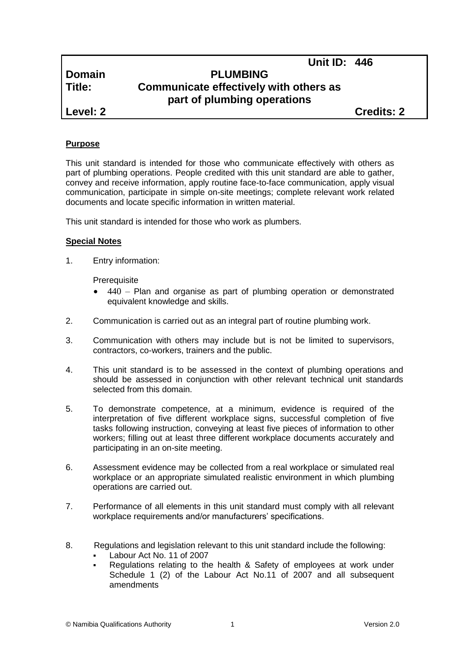# **Domain PLUMBING Title: Communicate effectively with others as part of plumbing operations**

**Level: 2 Credits: 2**

**Unit ID: 446**

## **Purpose**

This unit standard is intended for those who communicate effectively with others as part of plumbing operations. People credited with this unit standard are able to gather, convey and receive information, apply routine face-to-face communication, apply visual communication, participate in simple on-site meetings; complete relevant work related documents and locate specific information in written material.

This unit standard is intended for those who work as plumbers.

## **Special Notes**

1. Entry information:

**Prerequisite** 

- 440 Plan and organise as part of plumbing operation or demonstrated equivalent knowledge and skills.
- 2. Communication is carried out as an integral part of routine plumbing work.
- 3. Communication with others may include but is not be limited to supervisors, contractors, co-workers, trainers and the public.
- 4. This unit standard is to be assessed in the context of plumbing operations and should be assessed in conjunction with other relevant technical unit standards selected from this domain.
- 5. To demonstrate competence, at a minimum, evidence is required of the interpretation of five different workplace signs, successful completion of five tasks following instruction, conveying at least five pieces of information to other workers; filling out at least three different workplace documents accurately and participating in an on-site meeting.
- 6. Assessment evidence may be collected from a real workplace or simulated real workplace or an appropriate simulated realistic environment in which plumbing operations are carried out.
- 7. Performance of all elements in this unit standard must comply with all relevant workplace requirements and/or manufacturers' specifications.
- 8. Regulations and legislation relevant to this unit standard include the following:
	- Labour Act No. 11 of 2007
	- Regulations relating to the health & Safety of employees at work under Schedule 1 (2) of the Labour Act No.11 of 2007 and all subsequent amendments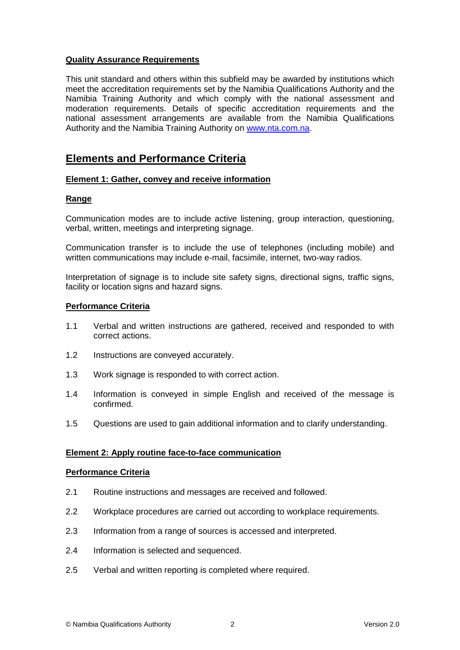## **Quality Assurance Requirements**

This unit standard and others within this subfield may be awarded by institutions which meet the accreditation requirements set by the Namibia Qualifications Authority and the Namibia Training Authority and which comply with the national assessment and moderation requirements. Details of specific accreditation requirements and the national assessment arrangements are available from the Namibia Qualifications Authority and the Namibia Training Authority on [www.nta.com.na.](http://www.nta.com.na/)

## **Elements and Performance Criteria**

## **Element 1: Gather, convey and receive information**

## **Range**

Communication modes are to include active listening, group interaction, questioning, verbal, written, meetings and interpreting signage.

Communication transfer is to include the use of telephones (including mobile) and written communications may include e-mail, facsimile, internet, two-way radios.

Interpretation of signage is to include site safety signs, directional signs, traffic signs, facility or location signs and hazard signs.

#### **Performance Criteria**

- 1.1 Verbal and written instructions are gathered, received and responded to with correct actions.
- 1.2 Instructions are conveyed accurately.
- 1.3 Work signage is responded to with correct action.
- 1.4 Information is conveyed in simple English and received of the message is confirmed.
- 1.5 Questions are used to gain additional information and to clarify understanding.

## **Element 2: Apply routine face-to-face communication**

#### **Performance Criteria**

- 2.1 Routine instructions and messages are received and followed.
- 2.2 Workplace procedures are carried out according to workplace requirements.
- 2.3 Information from a range of sources is accessed and interpreted.
- 2.4 Information is selected and sequenced.
- 2.5 Verbal and written reporting is completed where required.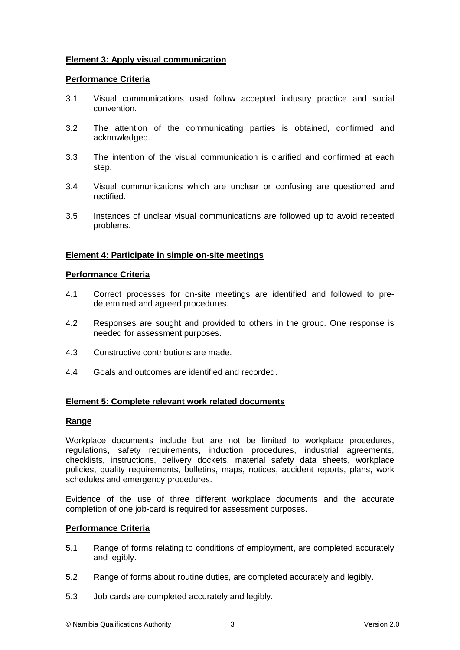## **Element 3: Apply visual communication**

### **Performance Criteria**

- 3.1 Visual communications used follow accepted industry practice and social convention.
- 3.2 The attention of the communicating parties is obtained, confirmed and acknowledged.
- 3.3 The intention of the visual communication is clarified and confirmed at each step.
- 3.4 Visual communications which are unclear or confusing are questioned and rectified.
- 3.5 Instances of unclear visual communications are followed up to avoid repeated problems.

#### **Element 4: Participate in simple on-site meetings**

#### **Performance Criteria**

- 4.1 Correct processes for on-site meetings are identified and followed to predetermined and agreed procedures.
- 4.2 Responses are sought and provided to others in the group. One response is needed for assessment purposes.
- 4.3 Constructive contributions are made.
- 4.4 Goals and outcomes are identified and recorded.

## **Element 5: Complete relevant work related documents**

#### **Range**

Workplace documents include but are not be limited to workplace procedures, regulations, safety requirements, induction procedures, industrial agreements, checklists, instructions, delivery dockets, material safety data sheets, workplace policies, quality requirements, bulletins, maps, notices, accident reports, plans, work schedules and emergency procedures.

Evidence of the use of three different workplace documents and the accurate completion of one job-card is required for assessment purposes.

#### **Performance Criteria**

- 5.1 Range of forms relating to conditions of employment, are completed accurately and legibly.
- 5.2 Range of forms about routine duties, are completed accurately and legibly.
- 5.3 Job cards are completed accurately and legibly.